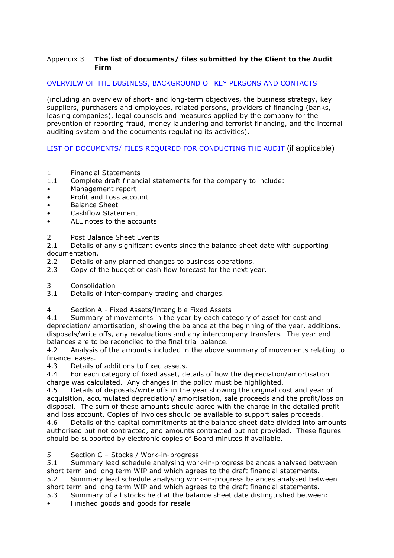### Appendix 3 **The list of documents/ files submitted by the Client to the Audit Firm**

## OVERVIEW OF THE BUSINESS, BACKGROUND OF KEY PERSONS AND CONTACTS

(including an overview of short- and long-term objectives, the business strategy, key suppliers, purchasers and employees, related persons, providers of financing (banks, leasing companies), legal counsels and measures applied by the company for the prevention of reporting fraud, money laundering and terrorist financing, and the internal auditing system and the documents regulating its activities).

LIST OF DOCUMENTS/ FILES REQUIRED FOR CONDUCTING THE AUDIT (if applicable)

- 1 Financial Statements
- 1.1 Complete draft financial statements for the company to include:
- Management report
- Profit and Loss account
- Balance Sheet
- Cashflow Statement
- ALL notes to the accounts
- 2 Post Balance Sheet Events

2.1 Details of any significant events since the balance sheet date with supporting documentation.

- 2.2 Details of any planned changes to business operations.
- 2.3 Copy of the budget or cash flow forecast for the next year.
- 3 Consolidation<br>3.1 Details of inte
- Details of inter-company trading and charges.
- 4 Section A Fixed Assets/Intangible Fixed Assets

4.1 Summary of movements in the year by each category of asset for cost and depreciation/ amortisation, showing the balance at the beginning of the year, additions, disposals/write offs, any revaluations and any intercompany transfers. The year end balances are to be reconciled to the final trial balance.

4.2 Analysis of the amounts included in the above summary of movements relating to finance leases.

4.3 Details of additions to fixed assets.

4.4 For each category of fixed asset, details of how the depreciation/amortisation charge was calculated. Any changes in the policy must be highlighted.

4.5 Details of disposals/write offs in the year showing the original cost and year of acquisition, accumulated depreciation/ amortisation, sale proceeds and the profit/loss on disposal. The sum of these amounts should agree with the charge in the detailed profit and loss account. Copies of invoices should be available to support sales proceeds.

4.6 Details of the capital commitments at the balance sheet date divided into amounts authorised but not contracted, and amounts contracted but not provided. These figures should be supported by electronic copies of Board minutes if available.

### 5 Section C – Stocks / Work-in-progress

5.1 Summary lead schedule analysing work-in-progress balances analysed between short term and long term WIP and which agrees to the draft financial statements.

5.2 Summary lead schedule analysing work-in-progress balances analysed between short term and long term WIP and which agrees to the draft financial statements.

- 5.3 Summary of all stocks held at the balance sheet date distinguished between:
- Finished goods and goods for resale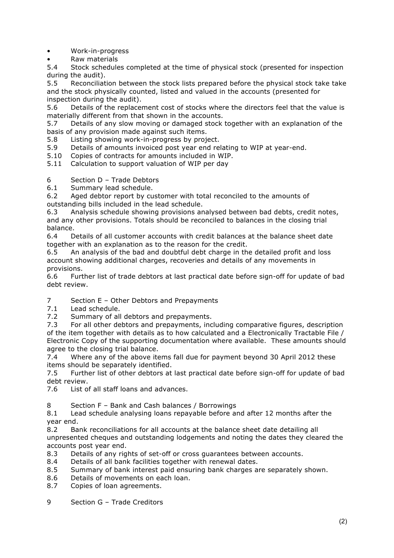• Work-in-progress

• Raw materials

5.4 Stock schedules completed at the time of physical stock (presented for inspection during the audit).

5.5 Reconciliation between the stock lists prepared before the physical stock take take and the stock physically counted, listed and valued in the accounts (presented for inspection during the audit).

5.6 Details of the replacement cost of stocks where the directors feel that the value is materially different from that shown in the accounts.

5.7 Details of any slow moving or damaged stock together with an explanation of the basis of any provision made against such items.

5.8 Listing showing work-in-progress by project.

5.9 Details of amounts invoiced post year end relating to WIP at year-end.

5.10 Copies of contracts for amounts included in WIP.

5.11 Calculation to support valuation of WIP per day

6 Section D – Trade Debtors

6.1 Summary lead schedule.

6.2 Aged debtor report by customer with total reconciled to the amounts of outstanding bills included in the lead schedule.

6.3 Analysis schedule showing provisions analysed between bad debts, credit notes, and any other provisions. Totals should be reconciled to balances in the closing trial balance.

6.4 Details of all customer accounts with credit balances at the balance sheet date together with an explanation as to the reason for the credit.

6.5 An analysis of the bad and doubtful debt charge in the detailed profit and loss account showing additional charges, recoveries and details of any movements in provisions.

6.6 Further list of trade debtors at last practical date before sign-off for update of bad debt review.

7 Section E – Other Debtors and Prepayments<br>7.1 Lead schedule.

Lead schedule.

7.2 Summary of all debtors and prepayments.

7.3 For all other debtors and prepayments, including comparative figures, description of the item together with details as to how calculated and a Electronically Tractable File / Electronic Copy of the supporting documentation where available. These amounts should agree to the closing trial balance.

7.4 Where any of the above items fall due for payment beyond 30 April 2012 these items should be separately identified.

7.5 Further list of other debtors at last practical date before sign-off for update of bad debt review.

7.6 List of all staff loans and advances.

8 Section F – Bank and Cash balances / Borrowings

8.1 Lead schedule analysing loans repayable before and after 12 months after the year end.

8.2 Bank reconciliations for all accounts at the balance sheet date detailing all unpresented cheques and outstanding lodgements and noting the dates they cleared the accounts post year end.

- 8.3 Details of any rights of set-off or cross guarantees between accounts.
- 8.4 Details of all bank facilities together with renewal dates.
- 8.5 Summary of bank interest paid ensuring bank charges are separately shown.
- 8.6 Details of movements on each loan.
- 8.7 Copies of loan agreements.
- 9 Section G Trade Creditors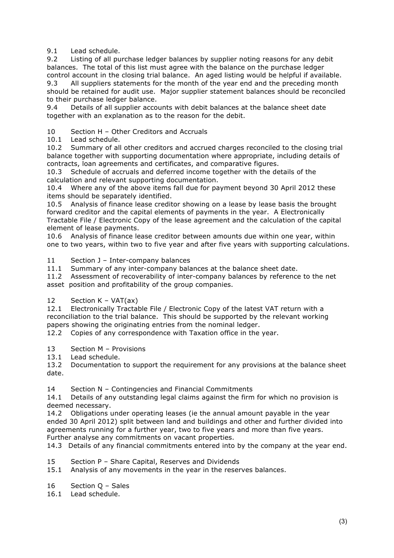9.1 Lead schedule.

9.2 Listing of all purchase ledger balances by supplier noting reasons for any debit balances. The total of this list must agree with the balance on the purchase ledger control account in the closing trial balance. An aged listing would be helpful if available.

9.3 All suppliers statements for the month of the year end and the preceding month should be retained for audit use. Major supplier statement balances should be reconciled to their purchase ledger balance.

9.4 Details of all supplier accounts with debit balances at the balance sheet date together with an explanation as to the reason for the debit.

10 Section H – Other Creditors and Accruals

10.1 Lead schedule.

10.2 Summary of all other creditors and accrued charges reconciled to the closing trial balance together with supporting documentation where appropriate, including details of contracts, loan agreements and certificates, and comparative figures.

10.3 Schedule of accruals and deferred income together with the details of the calculation and relevant supporting documentation.

10.4 Where any of the above items fall due for payment beyond 30 April 2012 these items should be separately identified.

10.5 Analysis of finance lease creditor showing on a lease by lease basis the brought forward creditor and the capital elements of payments in the year. A Electronically Tractable File / Electronic Copy of the lease agreement and the calculation of the capital element of lease payments.

10.6 Analysis of finance lease creditor between amounts due within one year, within one to two years, within two to five year and after five years with supporting calculations.

11 Section J - Inter-company balances

11.1 Summary of any inter-company balances at the balance sheet date.

11.2 Assessment of recoverability of inter-company balances by reference to the net asset position and profitability of the group companies.

12 Section K – VAT(ax)

12.1 Electronically Tractable File / Electronic Copy of the latest VAT return with a reconciliation to the trial balance. This should be supported by the relevant working papers showing the originating entries from the nominal ledger.

12.2 Copies of any correspondence with Taxation office in the year.

- 13 Section M Provisions
- 13.1 Lead schedule.

13.2 Documentation to support the requirement for any provisions at the balance sheet date.

14 Section N – Contingencies and Financial Commitments

14.1 Details of any outstanding legal claims against the firm for which no provision is deemed necessary.

14.2 Obligations under operating leases (ie the annual amount payable in the year ended 30 April 2012) split between land and buildings and other and further divided into agreements running for a further year, two to five years and more than five years. Further analyse any commitments on vacant properties.

14.3 Details of any financial commitments entered into by the company at the year end.

- 15 Section P Share Capital, Reserves and Dividends
- 15.1 Analysis of any movements in the year in the reserves balances.
- 16 Section Q Sales

16.1 Lead schedule.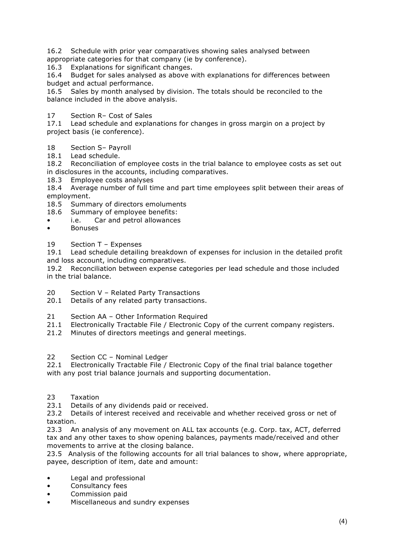16.2 Schedule with prior year comparatives showing sales analysed between appropriate categories for that company (ie by conference).

16.3 Explanations for significant changes.

16.4 Budget for sales analysed as above with explanations for differences between budget and actual performance.

16.5 Sales by month analysed by division. The totals should be reconciled to the balance included in the above analysis.

# 17 Section R– Cost of Sales

17.1 Lead schedule and explanations for changes in gross margin on a project by project basis (ie conference).

# 18 Section S– Payroll

18.1 Lead schedule.

18.2 Reconciliation of employee costs in the trial balance to employee costs as set out in disclosures in the accounts, including comparatives.

18.3 Employee costs analyses

18.4 Average number of full time and part time employees split between their areas of employment.

- 18.5 Summary of directors emoluments
- 18.6 Summary of employee benefits:
- i.e. Car and petrol allowances
- Bonuses
- 19 Section T Expenses

19.1 Lead schedule detailing breakdown of expenses for inclusion in the detailed profit and loss account, including comparatives.

19.2 Reconciliation between expense categories per lead schedule and those included in the trial balance.

- 20 Section V Related Party Transactions
- 20.1 Details of any related party transactions.
- 21 Section AA Other Information Required
- 21.1 Electronically Tractable File / Electronic Copy of the current company registers.
- 21.2 Minutes of directors meetings and general meetings.

#### 22 Section CC – Nominal Ledger

22.1 Electronically Tractable File / Electronic Copy of the final trial balance together with any post trial balance journals and supporting documentation.

23 Taxation

23.1 Details of any dividends paid or received.

23.2 Details of interest received and receivable and whether received gross or net of taxation.

23.3 An analysis of any movement on ALL tax accounts (e.g. Corp. tax, ACT, deferred tax and any other taxes to show opening balances, payments made/received and other movements to arrive at the closing balance.

23.5 Analysis of the following accounts for all trial balances to show, where appropriate, payee, description of item, date and amount:

- Legal and professional
- Consultancy fees
- Commission paid
- Miscellaneous and sundry expenses